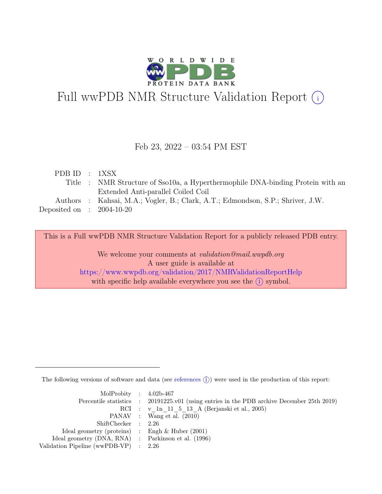

# Full wwPDB NMR Structure Validation Report (i)

#### Feb 23, 2022 – 03:54 PM EST

| PDBID : 1XSX                |                                                                                 |
|-----------------------------|---------------------------------------------------------------------------------|
|                             | Title : NMR Structure of Sso10a, a Hyperthermophile DNA-binding Protein with an |
|                             | Extended Anti-parallel Coiled Coil                                              |
|                             | Authors : Kahsai, M.A.; Vogler, B.; Clark, A.T.; Edmondson, S.P.; Shriver, J.W. |
| Deposited on : $2004-10-20$ |                                                                                 |
|                             |                                                                                 |

This is a Full wwPDB NMR Structure Validation Report for a publicly released PDB entry.

We welcome your comments at *validation@mail.wwpdb.org* A user guide is available at <https://www.wwpdb.org/validation/2017/NMRValidationReportHelp> with specific help available everywhere you see the  $(i)$  symbol.

The following versions of software and data (see [references](https://www.wwpdb.org/validation/2017/NMRValidationReportHelp#references)  $\hat{I}$ ) were used in the production of this report:

| MolProbity : $4.02b-467$                            |                                                                                            |
|-----------------------------------------------------|--------------------------------------------------------------------------------------------|
|                                                     | Percentile statistics : 20191225.v01 (using entries in the PDB archive December 25th 2019) |
|                                                     | RCI : v 1n 11 5 13 A (Berjanski et al., 2005)                                              |
|                                                     | PANAV : Wang et al. (2010)                                                                 |
| ShiftChecker : 2.26                                 |                                                                                            |
| Ideal geometry (proteins) : Engh $\&$ Huber (2001)  |                                                                                            |
| Ideal geometry (DNA, RNA) : Parkinson et al. (1996) |                                                                                            |
| Validation Pipeline (wwPDB-VP) $\therefore$ 2.26    |                                                                                            |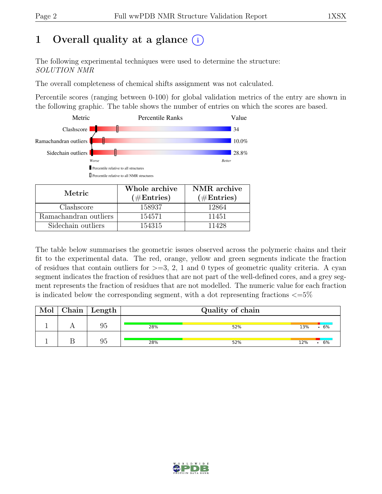# 1 Overall quality at a glance  $(i)$

The following experimental techniques were used to determine the structure: SOLUTION NMR

The overall completeness of chemical shifts assignment was not calculated.

Percentile scores (ranging between 0-100) for global validation metrics of the entry are shown in the following graphic. The table shows the number of entries on which the scores are based.



| Metric.               | Whole archive<br>$(\#Entries)$ | NMR archive<br>$(\#Entries)$ |
|-----------------------|--------------------------------|------------------------------|
| Clashscore            | 158937                         | 12864                        |
| Ramachandran outliers | 154571                         | 11451                        |
| Sidechain outliers    | 154315                         | 11428                        |

The table below summarises the geometric issues observed across the polymeric chains and their fit to the experimental data. The red, orange, yellow and green segments indicate the fraction of residues that contain outliers for  $>=$  3, 2, 1 and 0 types of geometric quality criteria. A cyan segment indicates the fraction of residues that are not part of the well-defined cores, and a grey segment represents the fraction of residues that are not modelled. The numeric value for each fraction is indicated below the corresponding segment, with a dot representing fractions  $\langle=5\%$ 

| Mol | $\vert$ Chain $\vert$ Length | Quality of chain |     |     |    |  |
|-----|------------------------------|------------------|-----|-----|----|--|
|     | 95                           | 28%              | 52% | 13% | 6% |  |
|     | 95                           | 28%              | 52% | 12% | 6% |  |

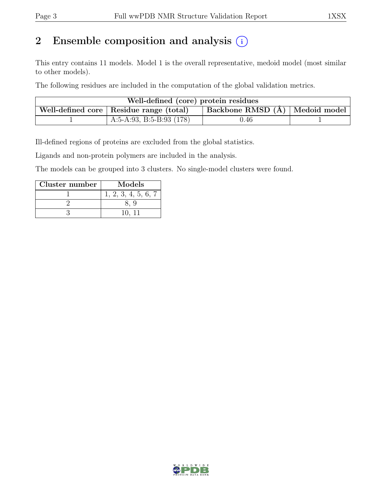# 2 Ensemble composition and analysis  $(i)$

This entry contains 11 models. Model 1 is the overall representative, medoid model (most similar to other models).

The following residues are included in the computation of the global validation metrics.

| Well-defined (core) protein residues                                            |                            |      |  |  |  |  |  |
|---------------------------------------------------------------------------------|----------------------------|------|--|--|--|--|--|
| Backbone RMSD (Å)   Medoid model  <br>Well-defined core   Residue range (total) |                            |      |  |  |  |  |  |
|                                                                                 | A:5-A:93, B:5-B:93 $(178)$ | 0.46 |  |  |  |  |  |

Ill-defined regions of proteins are excluded from the global statistics.

Ligands and non-protein polymers are included in the analysis.

The models can be grouped into 3 clusters. No single-model clusters were found.

| Cluster number | Models              |
|----------------|---------------------|
|                | 1, 2, 3, 4, 5, 6, 7 |
|                |                     |
|                |                     |

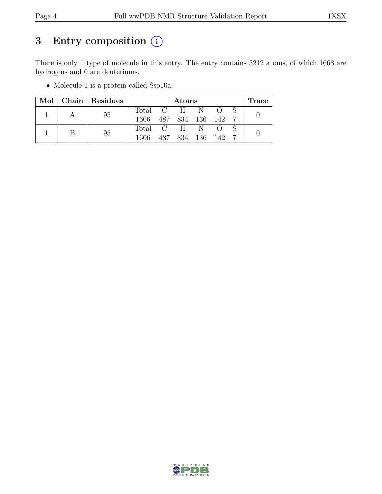# 3 Entry composition  $(i)$

There is only 1 type of molecule in this entry. The entry contains 3212 atoms, of which 1668 are hydrogens and 0 are deuteriums.

• Molecule 1 is a protein called Sso10a.

|  |  | Mol   Chain   Residues |                 | Atoms             |  |  |  | $\operatorname{Trace}$ |  |
|--|--|------------------------|-----------------|-------------------|--|--|--|------------------------|--|
|  |  | 95                     | Total C H N O S |                   |  |  |  |                        |  |
|  |  | 1606                   |                 | 487 834 136 142 7 |  |  |  |                        |  |
|  |  | 95                     | Total C H N O   |                   |  |  |  |                        |  |
|  |  | 1606                   |                 | 487 834 136 142   |  |  |  |                        |  |

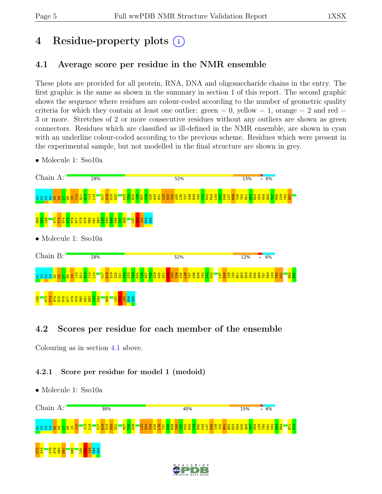# 4 Residue-property plots (i)

## <span id="page-4-0"></span>4.1 Average score per residue in the NMR ensemble

These plots are provided for all protein, RNA, DNA and oligosaccharide chains in the entry. The first graphic is the same as shown in the summary in section 1 of this report. The second graphic shows the sequence where residues are colour-coded according to the number of geometric quality criteria for which they contain at least one outlier:  $green = 0$ ,  $yellow = 1$ ,  $orange = 2$  and  $red =$ 3 or more. Stretches of 2 or more consecutive residues without any outliers are shown as green connectors. Residues which are classified as ill-defined in the NMR ensemble, are shown in cyan with an underline colour-coded according to the previous scheme. Residues which were present in the experimental sample, but not modelled in the final structure are shown in grey.

• Molecule 1: Sso10a



## 4.2 Scores per residue for each member of the ensemble

Colouring as in section [4.1](#page-4-0) above.

#### 4.2.1 Score per residue for model 1 (medoid)

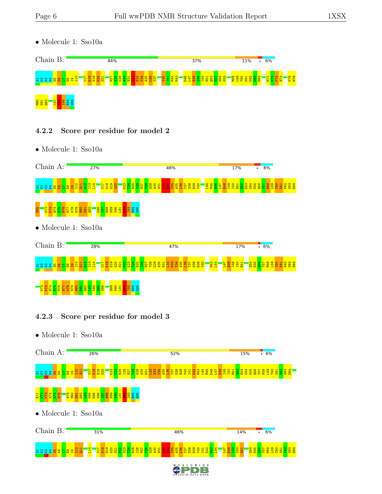• Molecule 1: Sso10a



#### 4.2.2 Score per residue for model 2

• Molecule 1: Sso10a



#### 4.2.3 Score per residue for model 3

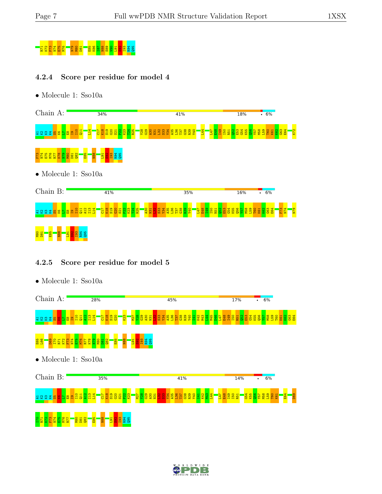

#### 4.2.4 Score per residue for model 4

• Molecule 1: Sso10a



#### 4.2.5 Score per residue for model 5



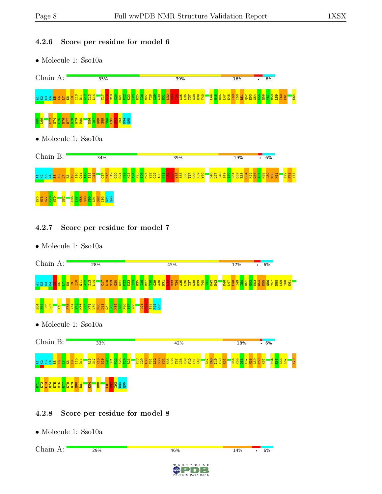#### 4.2.6 Score per residue for model 6

• Molecule 1: Sso10a



#### 4.2.7 Score per residue for model 7

• Molecule 1: Sso10a

| Chain A:                                                                                                         | 28%                                                                                                                                                                                                         | 45%                                                                                                                                | 6%<br>17%<br>٠                                                                      |
|------------------------------------------------------------------------------------------------------------------|-------------------------------------------------------------------------------------------------------------------------------------------------------------------------------------------------------------|------------------------------------------------------------------------------------------------------------------------------------|-------------------------------------------------------------------------------------|
| I13<br>L14<br><b>S</b> and and<br>$\frac{98}{8}$<br>និ និ<br>ξ4                                                  | <u>្អែដ ទី ទី ទី មី ដូច ស្រុក ស្រុក ស្រុក ស្រុក ស្រុក ទី ទី ទី ទី មី ដូច</u><br>ស្រុក ទី ទី ទី មី ដូច ស្រុ <mark>ក ស្រុ</mark> ក ស្រុក ស្រុក ស្រុក ស្រុក ស្រុក ស្រុក ស្រុក ស្រុក ស្រុក ស្រុក ស្រុក ស្រុក ស្ | N43<br><b>D46</b>                                                                                                                  | <b>85125</b><br><b>BBBBBBB</b><br><b>PSC</b><br><b>Ig</b><br><b>N<sub>5</sub></b>   |
| <b>ENRIE<br/>ENRIEN</b><br>ENRI<br>$\frac{98M}{62N}$<br>L66<br>E65<br>170<br>E64<br>L67                          | <b>883 888 887</b><br>88 88 88 887<br>D81<br><b>OSI</b><br><b>B</b><br><b>R94</b><br>$\frac{5}{19}$<br><b>aso</b>                                                                                           |                                                                                                                                    |                                                                                     |
| $\bullet$ Molecule 1: Sso10a                                                                                     |                                                                                                                                                                                                             |                                                                                                                                    |                                                                                     |
| Chain B:                                                                                                         | 33%                                                                                                                                                                                                         | 42%                                                                                                                                | .6%<br>18%                                                                          |
| A <sub>16</sub><br>$\frac{8}{2}$<br>C <sub>17</sub><br>음업 건<br>$\frac{4}{8}$<br>9                                | <u>និងខ្លួងខ្លួង</u> និ                                                                                                                                                                                     | <b>149</b><br><b>BRAGE EN STREET EN STREET EN STREET EN STREET EN STREET EN STREET EN STREET EN ST</b><br>E48<br>R51<br><b>ZF1</b> | $rac{1}{155}$<br><mark>음명 4용</mark><br><b>Dal</b><br>E64<br>E65<br>L66<br>K61<br>51 |
| N74<br><b>ETS</b><br><b>ESC</b><br><b>ESC</b><br><b>ESC</b><br><b>ESC</b><br><b>ESC</b><br>K84<br>N.<br><b>Z</b> | 88M<br><mark>ន្ល</mark> ី ខ្លី ខ្លី ខ្ល<br>L91                                                                                                                                                              |                                                                                                                                    |                                                                                     |

#### 4.2.8 Score per residue for model 8

• Molecule 1: Sso10a

Chain A:29%  $6%$  $46%$ 14%  $\ddot{\phantom{a}}$  $W I D E$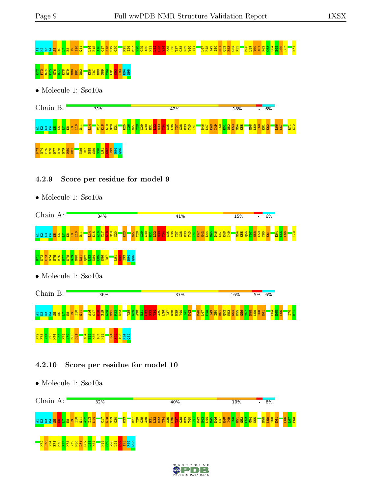# 2 x x x x 3 x 5 x 3 q 1 3 d 1 1 d 1 1 1 1 1 1 1 1 1 1 2 3 3 6 d 1 2 3 3 3 3 3 3 3 3 3 4 d 1 3 3 4 3 d 1 3 d 1 <br>2 x x x x 3 x 5 x 3 q 1 3 d 1 1 1 1 1 1 1 1 1 1 1 1 1 1 2 3 6 1 1 2 3 6 1 1 1 2 3 6 6 6 6 6 6 6 6 6 6 6 7 P71 <u>K72 F73 F73 N79 E75 M80 D81 A76 N79 N79 N79 N</u><br>2 F75 E75 E75 E87 E87 E87 E87 E88 S89 E1<mark>90 S</mark>82 E

• Molecule 1: Sso10a



#### 4.2.9 Score per residue for model 9

• Molecule 1: Sso10a



#### 4.2.10 Score per residue for model 10



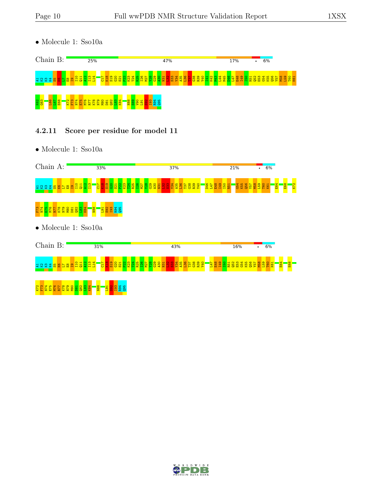• Molecule 1: Sso10a



#### 4.2.11 Score per residue for model 11



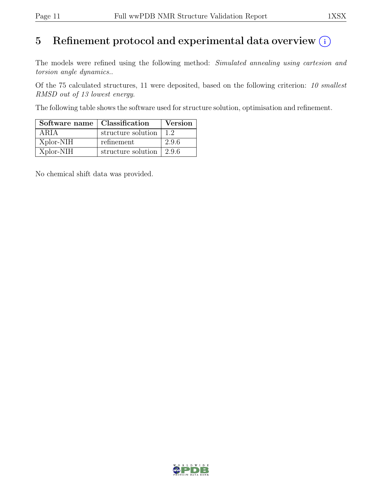# 5 Refinement protocol and experimental data overview  $(i)$

The models were refined using the following method: Simulated annealing using cartesion and torsion angle dynamics..

Of the 75 calculated structures, 11 were deposited, based on the following criterion: 10 smallest RMSD out of 13 lowest energy.

The following table shows the software used for structure solution, optimisation and refinement.

| Software name   Classification |                                        | <b>Version</b> |
|--------------------------------|----------------------------------------|----------------|
| ARIA                           | structure solution                     | 1.2            |
| Xplor-NIH                      | refinement                             | 2.9.6          |
| Xplor-NIH                      | structure solution $\vert 2.9.6 \vert$ |                |

No chemical shift data was provided.

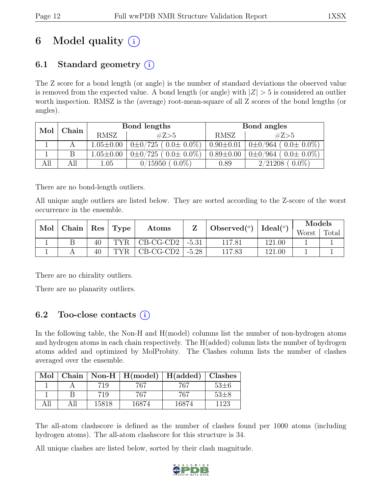# 6 Model quality  $(i)$

## 6.1 Standard geometry  $(i)$

The Z score for a bond length (or angle) is the number of standard deviations the observed value is removed from the expected value. A bond length (or angle) with  $|Z| > 5$  is considered an outlier worth inspection. RMSZ is the (average) root-mean-square of all Z scores of the bond lengths (or angles).

| Mol | Chain |                 | Bond lengths                    | Bond angles     |                               |  |
|-----|-------|-----------------|---------------------------------|-----------------|-------------------------------|--|
|     |       | <b>RMSZ</b>     | #Z>5                            | <b>RMSZ</b>     | #Z>5                          |  |
|     |       | $1.05 \pm 0.00$ | $0\pm 0/725$ ( $0.0\pm 0.0\%$ ) | $0.90 \pm 0.01$ | $0\pm0/964$ ( $0.0\pm0.0\%$ ) |  |
|     | B     | $1.05 \pm 0.00$ | $0\pm 0/725$ ( $0.0\pm 0.0\%$ ) | $0.89 \pm 0.00$ | $0\pm0/964$ ( $0.0\pm0.0\%$ ) |  |
| All | All   | 1.05            | 0/15950<br>$0.0\%$              | 0.89            | 2/21208<br>$0.0\%$ )          |  |

There are no bond-length outliers.

All unique angle outliers are listed below. They are sorted according to the Z-score of the worst occurrence in the ensemble.

|  | Mol   Chain   Res   Type |                  |                                 |  | Atoms  |                                                                   |       | Models |  |
|--|--------------------------|------------------|---------------------------------|--|--------|-------------------------------------------------------------------|-------|--------|--|
|  |                          |                  |                                 |  |        | Observed <sup>(<math>\circ</math>)</sup> $\vert$ Ideal( $\circ$ ) | Worst | Total  |  |
|  |                          | TYR.             | $\vert$ CB-CG-CD2 $\vert$ -5.31 |  | 117.81 | 121.00                                                            |       |        |  |
|  | 40                       | TYR <sub>1</sub> | $\vert$ CB-CG-CD2 $\vert$ -5.28 |  | 117.83 | 121.00                                                            |       |        |  |

There are no chirality outliers.

There are no planarity outliers.

## 6.2 Too-close contacts  $(i)$

In the following table, the Non-H and H(model) columns list the number of non-hydrogen atoms and hydrogen atoms in each chain respectively. The H(added) column lists the number of hydrogen atoms added and optimized by MolProbity. The Clashes column lists the number of clashes averaged over the ensemble.

| Mol  |      |       | Chain   Non-H   $H(model)$   $H(added)$   Clashes |       |          |
|------|------|-------|---------------------------------------------------|-------|----------|
|      |      | 719   | 767                                               | 767   | $53\pm6$ |
|      |      | 719   | 767                                               | 767   | $53\pm8$ |
| A 11 | A 11 | 15818 | 16874                                             | 16874 | 1123     |

The all-atom clashscore is defined as the number of clashes found per 1000 atoms (including hydrogen atoms). The all-atom clashscore for this structure is 34.

All unique clashes are listed below, sorted by their clash magnitude.

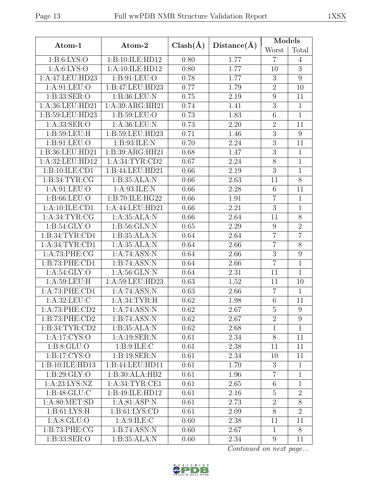| ×<br>۰. |
|---------|
|---------|

|                    |                           |              |             | Models          |                |
|--------------------|---------------------------|--------------|-------------|-----------------|----------------|
| Atom-1             | Atom-2                    | $Clash(\AA)$ | Distance(A) | Worst           | Total          |
| 1: B:6: LYS:O      | 1:B:10:ILE:HD12           | 0.80         | 1.77        | $\overline{7}$  | 4              |
| 1: A:6: LYS:O      | 1:A:10:ILE:HD12           | 0.80         | 1.77        | 10              | $\overline{3}$ |
| 1:A:47:LEU:HD23    | 1:B:91:LEU:O              | 0.78         | 1.77        | 3               | 9              |
| 1: A:91: LEU:O     | 1:B:47:LEU:HD23           | 0.77         | 1.79        | $\overline{2}$  | 10             |
| 1:B:33:SER:O       | 1:B:36:LEU:N              | 0.75         | 2.19        | 9               | 11             |
| 1:A:36:LEU:HD21    | 1:A:39:ARG:HH21           | 0.74         | 1.41        | 3               | $\mathbf{1}$   |
| 1:B:59:LEU:HD23    | 1: B:59: LEU:O            | 0.73         | 1.83        | 6               | $\mathbf{1}$   |
| 1:A:33:SER:O       | 1:A:36:LEU:N              | 0.73         | 2.20        | $\overline{2}$  | 11             |
| 1:B:59:LEU:H       | 1: B:59: LEU: HD23        | 0.71         | 1.46        | $\overline{3}$  | 9              |
| 1: B: 91: LEU: O   | 1: B:93: ILE:N            | 0.70         | 2.24        | $\overline{3}$  | 11             |
| 1:B:36:LEU:HD21    | 1:B:39:ARG:HH21           | 0.68         | 1.47        | $\mathfrak{Z}$  | $\mathbf{1}$   |
| 1:A:32:LEU:HD12    | 1: A:34:TYR:CD2           | 0.67         | 2.24        | 8               | $\mathbf{1}$   |
| 1:B:10:ILE:CD1     | 1:B:44:LEU:HD21           | 0.66         | 2.19        | 3               | $\mathbf{1}$   |
| 1:B:34:TYR:CG      | 1:B:35:ALA:N              | 0.66         | 2.63        | 11              | 8              |
| 1: A:91: LEU:O     | 1: A:93: ILE:N            | 0.66         | 2.28        | $6\phantom{.}6$ | 11             |
| 1: B: 66: LEU: O   | 1:B:70:ILE:HG22           | 0.66         | 1.91        | $\overline{7}$  | $\mathbf{1}$   |
| 1:A:10:ILE:CD1     | 1:A:44:LEU:HD21           | 0.66         | 2.21        | $\overline{3}$  | $\mathbf{1}$   |
| 1: A:34:TYR:CG     | 1:A:35:ALA:N              | 0.66         | 2.64        | 11              | 8              |
| 1: B:54: GLY:O     | 1: B:56: GLN:N            |              | 2.29        | 9               | $\overline{2}$ |
| 1:B:34:TYR:CD1     | 1:B:35:ALA:N              |              | 2.64        | $\overline{7}$  | $\overline{7}$ |
| 1: A:34:TYR:CD1    | 1:A:35:ALA:N              | 0.64         | 2.66        | $\overline{7}$  | 8              |
| 1:A:73:PHE:CG      | 1:A:74:ASN:N              | 0.64         | 2.66        | $\overline{3}$  | 9              |
| 1:B:73:PHE:CD1     | 1:B:74:ASN:N              | 0.64         | 2.66        | $\overline{7}$  | $\mathbf{1}$   |
| 1: A:54: GLY:O     | 1:A:56:GLN:N              | 0.64         | 2.31        | 11              | $\mathbf{1}$   |
| 1: A:59:LEU:H      | 1:A:59:LEU:HD23           | 0.63         | 1.52        | 11              | 10             |
| 1:A:73:PHE:CD1     | 1:A:74:ASN:N              | 0.63         | 2.66        | $\overline{7}$  | $\mathbf{1}$   |
| 1:A:32:LEU:C       | 1: A:34:TYR:H             | 0.62         | 1.98        | 6               | 11             |
| 1:A:73:PHE:CD2     | 1:A:74:ASN:N              | 0.62         | 2.67        | $\mathbf 5$     | 9              |
| 1: B: 73: PHE: CD2 | 1:B:74:ASN:N              | 0.62         | 2.67        | $\overline{2}$  | 9              |
| 1:B:34:TYR:CD2     | 1:B:35:ALA:N              | 0.62         | 2.68        | $\mathbf{1}$    | $\mathbf 1$    |
| 1:A:17:CYS:O       | $1:A:19:SER:\overline{N}$ | 0.61         | 2.34        | $8\,$           | 11             |
| 1: B: 8: GLU: O    | 1: B: 9: ILE:C            | 0.61         | 2.38        | 11              | 11             |
| 1:B:17:CYS:O       | 1:B:19:SER:N              | 0.61         | 2.34        | 10              | 11             |
| 1:B:10:ILE:HD13    | 1:B:44:LEU:HD11           | 0.61         | 1.70        | $\mathfrak{Z}$  | $\mathbf{1}$   |
| 1: B:29: GLY:O     | 1:B:30:ALA:HB2            | 0.61         | 1.96        | $\overline{7}$  | $\mathbf{1}$   |
| 1: A:23: LYS: NZ   | 1: A:34:TYR:CE1           | 0.61         | 2.65        | $6\phantom{.}6$ | $\mathbf{1}$   |
| 1: B:48: GLU: C    | 1:B:49:ILE:HD12           | 0.61         | 2.16        | $\overline{5}$  | $\overline{2}$ |
| 1: A:80:MET:SD     | 1: A:81:ASP:N             | 0.61         | 2.73        | $\overline{2}$  | 8              |
| 1: B: 61: LYS: H   | 1: B: 61: LYS: CD         | 0.61         | 2.09        | 8               | $\overline{2}$ |
| 1: A:8: GLU:O      | 1: A:9: ILE:C             | 0.60         | 2.38        | 11              | 11             |
| 1:B:73:PHE:CG      | 1:B:74:ASN:N              | 0.60         | 2.67        | $\mathbf{1}$    | 8              |
| 1:B:33:SER:O       | 1:B:35:ALA:N              | 0.60         | 2.34        | 9               | 11             |

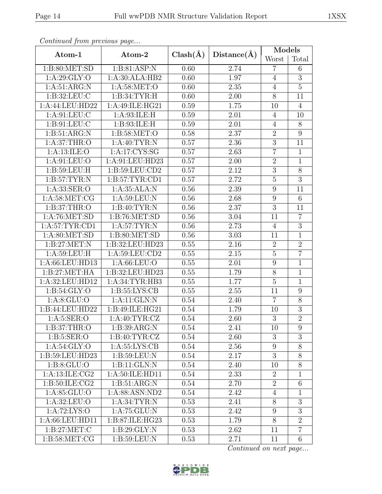|                    |                   |              |             |                  | Models           |  |
|--------------------|-------------------|--------------|-------------|------------------|------------------|--|
| Atom-1             | Atom-2            | $Clash(\AA)$ | Distance(A) | Worst            | Total            |  |
| 1: B:80:MET:SD     | 1:B:81:ASP:N      | 0.60         | 2.74        | $\overline{7}$   | 6                |  |
| 1: A:29: GLY:O     | 1:A:30:ALA:HB2    | 0.60         | 1.97        | $\overline{4}$   | $\overline{3}$   |  |
| 1: A:51: ARG:N     | 1:A:58:MET:O      | 0.60         | 2.35        | $\overline{4}$   | $\mathbf 5$      |  |
| 1: B:32: LEU: C    | 1:B:34:TYR:H      | 0.60         | 2.00        | 8                | 11               |  |
| 1:A:44:LEU:HD22    | 1:A:49:ILE:HG21   | 0.59         | 1.75        | 10               | $\overline{4}$   |  |
| 1: A:91: LEU: C    | 1:A:93:ILE:H      | 0.59         | 2.01        | $\overline{4}$   | 10               |  |
| 1: B: 91: LEU: C   | 1: B:93: ILE:H    | 0.59         | 2.01        | $\overline{4}$   | $\overline{8}$   |  |
| 1:B:51:ARG:N       | 1: B:58: MET:O    | 0.58         | 2.37        | $\sqrt{2}$       | $\boldsymbol{9}$ |  |
| 1: A:37:THR:O      | 1: A:40: TYR: N   | 0.57         | 2.36        | $\overline{3}$   | 11               |  |
| 1: A:13: ILE: O    | 1:A:17:CYS:SG     | 0.57         | 2.63        | $\overline{7}$   | $\mathbf{1}$     |  |
| 1:A:91:LEU:O       | 1:A:91:LEU:HD23   | 0.57         | $2.00\,$    | $\overline{2}$   | $\overline{1}$   |  |
| 1: B:59: LEU:H     | 1: B:59: LEU:CD2  | 0.57         | 2.12        | $\overline{3}$   | $\overline{8}$   |  |
| 1: B:57: TYR: N    | 1: B:57: TYR: CD1 | 0.57         | 2.72        | $\overline{5}$   | $\overline{3}$   |  |
| 1: A:33: SER:O     | 1:A:35:ALA:N      | 0.56         | 2.39        | $\boldsymbol{9}$ | 11               |  |
| 1: A:58: MET:CG    | 1: A:59: LEU: N   | 0.56         | 2.68        | $9\phantom{.}$   | 6                |  |
| 1: B:37:THR:O      | 1: B:40: TYR:N    | 0.56         | 2.37        | $\overline{3}$   | 11               |  |
| 1: A:76: MET:SD    | 1: B:76: MET:SD   | 0.56         | 3.04        | 11               | $\overline{7}$   |  |
| 1: A:57:TYR:CD1    | 1: A:57:TYR:N     | 0.56         | 2.73        | $\overline{4}$   | $\overline{3}$   |  |
| 1: A:80:MET:SD     | 1: B:80: MET:SD   | 0.56         | 3.03        | 11               | $\mathbf{1}$     |  |
| 1: B:27: MET:N     | 1:B:32:LEU:HD23   | 0.55         | 2.16        | $\overline{2}$   | $\overline{2}$   |  |
| 1: A:59: LEU:H     | 1:A:59:LEU:CD2    | 0.55         | 2.15        | $\overline{5}$   | $\overline{7}$   |  |
| 1:A:66:LEU:HD13    | 1: A:66:LEU:O     | 0.55         | 2.01        | $\boldsymbol{9}$ | $\mathbf{1}$     |  |
| 1:B:27:MET:HA      | 1:B:32:LEU:HD23   | 0.55         | 1.79        | $8\,$            | $\mathbf{1}$     |  |
| 1:A:32:LEU:HD12    | 1:A:34:TYR:HB3    | 0.55         | 1.77        | $\overline{5}$   | $\mathbf{1}$     |  |
| 1: B:54: GLY:O     | 1: B: 55: LYS: CB | 0.55         | 2.55        | 11               | $\boldsymbol{9}$ |  |
| 1: A:8: GLU:O      | 1:A:11:GLN:N      | 0.54         | 2.40        | $\overline{7}$   | $\overline{8}$   |  |
| 1:B:44:LEU:HD22    | 1:B:49:ILE:HG21   | 0.54         | 1.79        | 10               | $\overline{3}$   |  |
| 1: A: 5: SER: O    | 1:A:40:TYR:CZ     | 0.54         | 2.60        | $\overline{3}$   | $\overline{2}$   |  |
| 1: B:37:THR:O      | 1: B: 39: ARG: N  | 0.54         | 2.41        | 10               | 9                |  |
| 1: B:5: SER:O      | 1: B: 40: TYR: CZ | 0.54         | 2.60        | 3                | 3                |  |
| 1: A:54: GLY:O     | 1: A: 55: LYS: CB | 0.54         | 2.56        | $\boldsymbol{9}$ | $\overline{8}$   |  |
| 1:B:59:LEU:HD23    | 1: B:59: LEU: N   | 0.54         | 2.17        | 3                | 8                |  |
| 1: B: 8: GLU: O    | 1:B:11:GLN:N      | 0.54         | 2.40        | 10               | $\overline{8}$   |  |
| 1: A: 13: ILE: CG2 | 1:A:50:ILE:HD11   | 0.54         | 2.33        | $\overline{2}$   | $\mathbf{1}$     |  |
| 1:B:50:ILE:CG2     | 1: B:51: ARG:N    | 0.54         | 2.70        | $\sqrt{2}$       | 6                |  |
| 1: A:85:GLU:O      | 1: A:88: ASN:ND2  | 0.54         | 2.42        | 4                | $\mathbf 1$      |  |
| 1: A:32: LEU:O     | 1: A:34:TYR:N     | 0.53         | 2.41        | 8                | 3                |  |
| 1:A:72:LYS:O       | 1: A:75: GLU: N   | 0.53         | 2.42        | 9                | 3                |  |
| 1: A:66: LEU:HD11  | 1:B:87:ILE:HG23   | 0.53         | 1.79        | $8\,$            | $\overline{2}$   |  |
| 1: B:27: MET:C     | 1: B:29: GLY:N    | 0.53         | 2.62        | 11               | $\overline{7}$   |  |
| 1: B:58: MET:CG    | 1: B: 59: LEU: N  | 0.53         | 2.71        | 11               | $6\,$            |  |

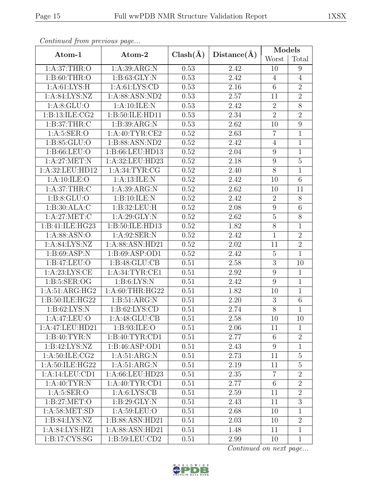| Continuum from protious page     |                   |              |                   | Models           |                 |
|----------------------------------|-------------------|--------------|-------------------|------------------|-----------------|
| Atom-1                           | Atom-2            | $Clash(\AA)$ | Distance(A)       | Worst            | Total           |
| 1: A:37:THR:O                    | 1:A:39:ARG:N      | 0.53         | 2.42              | 10               | 9               |
| 1: B:60:THR:O                    | 1: B:63: GLY:N    | 0.53         | 2.42              | $\overline{4}$   | $\overline{4}$  |
| 1: A:61:LYS:H                    | 1: A: 61: LYS: CD | 0.53         | 2.16              | $\sqrt{6}$       | $\overline{2}$  |
| 1: A:84: LYS:NZ                  | 1:A:88:ASN:ND2    | 0.53         | 2.57              | 11               | $\overline{2}$  |
| 1: A:8: GLU:O                    | 1:A:10:ILE:N      | 0.53         | 2.42              | $\overline{2}$   | 8               |
| 1:B:13:ILE:CG2                   | 1:B:50:ILE:HD11   | 0.53         | 2.34              | $\overline{2}$   | $\overline{2}$  |
| 1: B:37:THR:C                    | 1: B:39: ARG: N   | 0.53         | 2.62              | 10               | 9               |
| 1: A: 5: SER: O                  | 1: A:40: TYR:CE2  | 0.52         | 2.63              | $\overline{7}$   | $\mathbf{1}$    |
| 1:B:85:GLU:O                     | 1:B:88:ASN:ND2    | 0.52         | 2.42              | $\overline{4}$   | $\overline{1}$  |
| 1: B: 66: LEU: O                 | 1:B:66:LEU:HD13   | 0.52         | 2.04              | $\boldsymbol{9}$ | $\mathbf{1}$    |
| 1: A:27: MET: N                  | 1:A:32:LEU:HD23   | 0.52         | 2.18              | $\boldsymbol{9}$ | $\overline{5}$  |
| 1:A:32:LEU:HD12                  | 1: A:34: TYR: CG  | 0.52         | 2.40              | $8\,$            | $\mathbf{1}$    |
| 1: A:10: ILE:O                   | 1:A:13:ILE:N      | 0.52         | 2.42              | 10               | 6               |
| 1: A:37:THR:C                    | 1: A:39: ARG: N   | 0.52         | 2.62              | 10               | 11              |
| 1: B:8: GLU:O                    | 1:B:10:ILE:N      | 0.52         | 2.42              | $\overline{2}$   | 8               |
| 1:B:30:ALA:C                     | 1:B:32:LEU:H      | 0.52         | 2.08              | $\boldsymbol{9}$ | $\overline{6}$  |
| 1: A:27: MET:C                   | 1:A:29:GLY:N      | 0.52         | 2.62              | $\bf 5$          | $8\,$           |
| $1: B: 41: ILE: H\overline{G23}$ | 1:B:50:ILE:HD13   | 0.52         | $\overline{1.82}$ | $\overline{8}$   | $\mathbf{1}$    |
| 1: A:88: ASN:O                   | 1: A:92: SER: N   | 0.52         | 2.42              | $\mathbf{1}$     | $\overline{2}$  |
| 1: A:84: LYS:NZ                  | 1:A:88:ASN:HD21   | 0.52         | 2.02              | 11               | $\overline{2}$  |
| 1: B:69: ASP:N                   | 1:B:69:ASP:OD1    | 0.52         | 2.42              | $\mathbf 5$      | $\mathbf{1}$    |
| 1:B:47:LEU:O                     | 1:B:48:GLU:CB     | 0.51         | 2.58              | $\mathfrak{Z}$   | 10              |
| 1: A:23: LYS: CE                 | 1:A:34:TYR:CE1    | 0.51         | 2.92              | $\boldsymbol{9}$ | $\mathbf{1}$    |
| 1: B: 5: SER: OG                 | 1: B:6: LYS: N    | 0.51         | 2.42              | 9                | $\overline{1}$  |
| 1: A:51: ARG:HG2                 | 1: A:60:THR:HG22  | 0.51         | 1.82              | 10               | $\mathbf{1}$    |
| 1:B:50:ILE:HG22                  | 1: B:51: ARG:N    | 0.51         | 2.20              | $\boldsymbol{3}$ | $\overline{6}$  |
| 1: B:62: LYS:N                   | 1: B:62: LYS:CD   | 0.51         | 2.74              | $8\,$            | $\mathbf{1}$    |
| 1:A:47:LEU:O                     | 1:A:48:GLU:CB     | 0.51         | 2.58              | 10               | $\overline{10}$ |
| 1:A:47:LEU:HD21                  | 1:B:93:ILE:O      | 0.51         | 2.06              | 11               | $\mathbf 1$     |
| 1:B:40:TYR:N                     | 1:B:40:TYR:CD1    | 0.51         | 2.77              | 6                | $\overline{2}$  |
| 1:B:42:LYS:NZ                    | 1:B:46:ASP:OD1    | 0.51         | 2.43              | $9\phantom{.}$   | $\mathbf{1}$    |
| 1: A:50: ILE: CG2                | 1: A:51: ARG:N    | 0.51         | 2.73              | 11               | $\overline{5}$  |
| 1:A:50:ILE:HG22                  | 1: A:51: ARG:N    | 0.51         | 2.19              | 11               | $\overline{5}$  |
| 1:A:14:LEU:CD1                   | 1:A:66:LEU:HD23   | 0.51         | 2.35              | $\overline{7}$   | $\overline{2}$  |
| 1: A:40: TYR: N                  | 1: A:40:TYR:CD1   | 0.51         | 2.77              | $\sqrt{6}$       | $\overline{2}$  |
| 1: A:5: SER:O                    | 1: A:6: LYS: CB   | 0.51         | 2.59              | 11               | $\overline{2}$  |
| 1: B:27: MET:O                   | 1: B:29: GLY:N    | 0.51         | 2.43              | 11               | $\overline{3}$  |
| 1: A:58: MET:SD                  | 1: A:59: LEU:O    | 0.51         | 2.68              | 10               | $\mathbf{1}$    |
| 1: B:84: LYS:NZ                  | 1:B:88:ASN:HD21   | 0.51         | 2.03              | 10               | $\overline{2}$  |
| 1:A:84:LYS:HZ1                   | 1:A:88:ASN:HD21   | 0.51         | 1.48              | 11               | $\mathbf{1}$    |
| 1:B:17:CYS:SG                    | 1:B:59:LEU:CD2    | 0.51         | 2.99              | 10               | $\mathbf{1}$    |

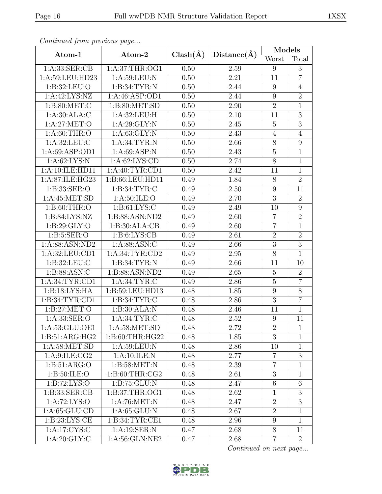|                   |                  |              |             |                  |                | Models |  |
|-------------------|------------------|--------------|-------------|------------------|----------------|--------|--|
| Atom-1            | Atom-2           | $Clash(\AA)$ | Distance(A) | Worst            | Total          |        |  |
| 1: A: 33: SER: CB | 1:A:37:THR:OG1   | 0.50         | 2.59        | 9                | 3              |        |  |
| 1:A:59:LEU:HD23   | 1: A:59: LEU: N  | 0.50         | 2.21        | 11               | $\overline{7}$ |        |  |
| 1: B:32:LEU:O     | 1:B:34:TYR:N     | 0.50         | 2.44        | 9                | $\overline{4}$ |        |  |
| 1:A:42:LYS:NZ     | 1:A:46:ASP:OD1   | 0.50         | 2.44        | 9                | $\overline{2}$ |        |  |
| 1: B:80:MET:C     | 1: B:80: MET:SD  | 0.50         | 2.90        | $\overline{2}$   | $\mathbf{1}$   |        |  |
| 1: A:30:ALA:C     | 1:A:32:LEU:H     | 0.50         | 2.10        | 11               | $\overline{3}$ |        |  |
| 1: A:27: MET:O    | 1:A:29:GLY:N     | 0.50         | 2.45        | $\overline{5}$   | $\overline{3}$ |        |  |
| 1:A:60:THR:O      | 1: A:63: GLY:N   | 0.50         | 2.43        | $\overline{4}$   | $\overline{4}$ |        |  |
| 1: A:32:LEU: C    | 1: A:34:TYR:N    | 0.50         | 2.66        | $8\,$            | 9              |        |  |
| 1: A:69: ASP:OD1  | 1: A:69: ASP: N  | 0.50         | 2.43        | $\bf 5$          | $\mathbf{1}$   |        |  |
| 1: A:62: LYS: N   | 1: A:62: LYS:CD  | 0.50         | 2.74        | $8\,$            | $\overline{1}$ |        |  |
| 1:A:10:ILE:HD11   | 1: A:40: TYR:CD1 | 0.50         | 2.42        | 11               | $\overline{1}$ |        |  |
| 1:A:87:ILE:HG23   | 1:B:66:LEU:HD11  | 0.49         | 1.84        | $8\,$            | $\overline{2}$ |        |  |
| 1: B: 33: SER: O  | 1: B:34: TYR: C  | 0.49         | 2.50        | $9\phantom{.}$   | 11             |        |  |
| 1:A:45:MET:SD     | 1: A:50: ILE: O  | 0.49         | 2.70        | 3                | $\overline{2}$ |        |  |
| 1: B:60:THR:O     | 1: B: 61: LYS: C | 0.49         | 2.49        | 10               | $\overline{9}$ |        |  |
| 1:B:84:LYS:NZ     | 1:B:88:ASN:ND2   | 0.49         | 2.60        | $\overline{7}$   | $\overline{2}$ |        |  |
| 1: B:29: GLY:O    | 1:B:30:ALA:CB    | 0.49         | 2.60        | $\overline{7}$   | $\mathbf{1}$   |        |  |
| 1: B:5: SER:O     | 1: B:6: LYS: CB  | 0.49         | 2.61        | $\overline{2}$   | $\overline{2}$ |        |  |
| 1:A:88:ASN:ND2    | 1: A:88: ASN: C  | 0.49         | 2.66        | $\boldsymbol{3}$ | $\overline{3}$ |        |  |
| 1:A:32:LEU:CD1    | 1: A:34:TYR:CD2  | 0.49         | 2.95        | $\overline{8}$   | $\overline{1}$ |        |  |
| 1: B:32: LEU: C   | 1:B:34:TYR:N     | 0.49         | 2.66        | 11               | 10             |        |  |
| 1:B:88:ASN:C      | 1:B:88:ASN:ND2   | 0.49         | 2.65        | $\overline{5}$   | $\overline{2}$ |        |  |
| 1: A:34:TYR:CD1   | 1: A:34:TYR:C    | 0.49         | 2.86        | $\overline{5}$   | $\overline{7}$ |        |  |
| 1:B:18:LYS:HA     | 1:B:59:LEU:HD13  | 0.48         | 1.85        | $\boldsymbol{9}$ | $\overline{8}$ |        |  |
| 1: B:34: TYR: CD1 | 1: B:34: TYR: C  | 0.48         | 2.86        | $\overline{3}$   | $\overline{7}$ |        |  |
| 1: B:27: MET:O    | 1:B:30:ALA:N     | 0.48         | 2.46        | 11               | $\mathbf{1}$   |        |  |
| 1: A: 33: SER: O  | 1: A:34:TYR:C    | 0.48         | 2.52        | $\boldsymbol{9}$ | 11             |        |  |
| 1:A:53:GLU:OE1    | 1: A:58: MET:SD  | 0.48         | 2.72        | $\overline{2}$   | $\mathbf{1}$   |        |  |
| 1:B:51:ARG:HG2    | 1: B:60:THR:HG22 | 0.48         | 1.85        | 3                | $\mathbf{1}$   |        |  |
| 1: A:58: MET:SD   | 1: A:59:LEU:N    | 0.48         | 2.86        | 10               | $\mathbf{1}$   |        |  |
| 1: A:9: ILE: CG2  | 1:A:10:ILE:N     | 0.48         | 2.77        | $\overline{7}$   | 3              |        |  |
| 1: B:51: ARG:O    | 1: B:58: MET: N  | 0.48         | 2.39        | $\overline{7}$   | $\mathbf{1}$   |        |  |
| 1: B:50: ILE: O   | 1: B:60:THR:CG2  | 0.48         | 2.61        | 3                | $\mathbf{1}$   |        |  |
| 1: B: 72: LYS: O  | 1:B:75:GLU:N     | 0.48         | 2.47        | $6\,$            | 6              |        |  |
| 1: B: 33: SER: CB | 1: B:37:THR:OG1  | 0.48         | 2.62        | $\mathbf{1}$     | 3              |        |  |
| 1: A:72: LYS:O    | 1: A:76: MET: N  | 0.48         | 2.47        | $\sqrt{2}$       | 3              |        |  |
| 1: A:65: GLU:CD   | 1: A:65: GLU: N  | 0.48         | 2.67        | $\overline{2}$   | $\mathbf 1$    |        |  |
| 1: B:23: LYS: CE  | 1:B:34:TYR:CE1   | 0.48         | 2.96        | $9\phantom{.}$   | $\mathbf{1}$   |        |  |
| 1: A:17: CYS:C    | 1:A:19:SER:N     | 0.47         | 2.68        | 8                | 11             |        |  |
| 1: A:20: GLY: C   | 1: A:56: GLN:NE2 |              | 2.68        | $\overline{7}$   | $\overline{2}$ |        |  |

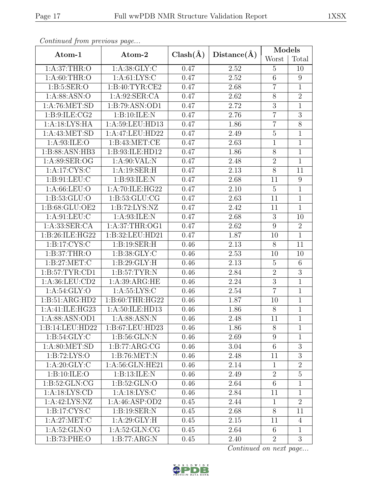| Continueu from pretious page |                              |              |             |                 | Models           |
|------------------------------|------------------------------|--------------|-------------|-----------------|------------------|
| Atom-1                       | Atom-2                       | $Clash(\AA)$ | Distance(A) | Worst           | Total            |
| 1: A:37:THR:O                | 1: A:38: GLY: C              | 0.47         | 2.52        | 5               | 10               |
| 1: A:60:THR:O                | 1: A:61: LYS:C               | 0.47         | 2.52        | 6               | 9                |
| 1: B:5: SER:O                | 1: B:40: TYR: CE2            | 0.47         | 2.68        | $\overline{7}$  | $\mathbf{1}$     |
| 1: A:88: ASN:O               | 1:A:92:SER:CA                | 0.47         | 2.62        | $8\,$           | $\overline{2}$   |
| 1: A:76: MET:SD              | 1:B:79:ASN:OD1               | 0.47         | 2.72        | $\mathfrak{Z}$  | $\mathbf{1}$     |
| 1: B: 9: ILE: CG2            | 1:B:10:ILE:N                 | 0.47         | 2.76        | $\overline{7}$  | $\overline{3}$   |
| 1:A:18:LYS:HA                | 1:A:59:LEU:HD13              | 0.47         | 1.86        | $\overline{7}$  | $\overline{8}$   |
| 1: A: 43: MET: SD            | 1:A:47:LEU:HD22              | 0.47         | 2.49        | $\bf 5$         | $\mathbf{1}$     |
| 1: A:93: ILE:O               | 1: B: 43: MET: CE            | 0.47         | 2.63        | $\overline{1}$  | $\mathbf{1}$     |
| 1:B:88:ASN:HB3               | 1:B:93:ILE:HD12              | 0.47         | 1.86        | $8\,$           | $\mathbf{1}$     |
| 1:A:89:SER:OG                | 1: A:90: VAL: N              | 0.47         | 2.48        | $\overline{2}$  | $\overline{1}$   |
| 1: A:17: CYS:C               | 1:A:19:SER:H                 | 0.47         | 2.13        | 8               | 11               |
| 1: B: 91: LEU: C             | 1:B:93:ILE:N                 | 0.47         | 2.68        | 11              | $\boldsymbol{9}$ |
| 1: A:66:LEU:O                | 1:A:70:ILE:HG22              | 0.47         | 2.10        | $\overline{5}$  | $\overline{1}$   |
| 1:B:53:GLU:O                 | 1: B: 53: GLU: CG            | 0.47         | 2.63        | 11              | $\mathbf{1}$     |
| 1:B:68:GLU:OE2               | 1:B:72:LYS:NZ                |              | 2.42        | 11              | $\overline{1}$   |
| 1: A:91: LEU: C              | 1:A:93:ILE:N                 |              | 2.68        | 3               | 10               |
| 1: A: 33: SER: CA            | 1:A:37:THR:OG1               |              | 2.62        | $\overline{9}$  | $\overline{2}$   |
| 1:B:26:ILE:HG22              | 1:B:32:LEU:HD21              | 0.47         | 1.87        | 10              | $\mathbf{1}$     |
| 1: B: 17: CYS: C             | 1:B:19:SER:H                 | 0.46         | 2.13        | 8               | 11               |
| 1: B:37:THR:O                | 1: B: 38: GLY: C             | 0.46         | 2.53        | 10              | 10               |
| 1: B:27: MET:C               | 1: B:29: GLY: H              | 0.46         | 2.13        | $\overline{5}$  | $6\phantom{.}6$  |
| 1: B:57: TYR:CD1             | 1: B:57: TYR: N              | 0.46         | 2.84        | $\overline{2}$  | $\overline{3}$   |
| 1:A:36:LEU:CD2               | 1: A:39: ARG: HE             | 0.46         | 2.24        | 3               | $\mathbf{1}$     |
| 1: A:54: GLY:O               | 1: A: 55: LYS: C             | 0.46         | 2.54        | $\overline{7}$  | $\mathbf{1}$     |
| 1:B:51:ARG:HD2               | 1:B:60:THR:HG22              | 0.46         | 1.87        | 10              | $\overline{1}$   |
| 1:A:41:ILE:HG23              | 1:A:50:ILE:HD13              | 0.46         | 1.86        | 8               | $\mathbf{1}$     |
| 1: A:88: ASN:OD1             | 1: A:88: ASN: N              | 0.46         | 2.48        | $\overline{11}$ | $\overline{1}$   |
| 1:B:14:LEU:HD22              | 1:B:67:LEU:HD23              | 0.46         | 1.86        | 8               | $\mathbf{1}$     |
| 1: B:54: GLY: C              | 1: B:56: GLN:N               | 0.46         | 2.69        | 9               | $\mathbf{1}$     |
| 1: A:80:MET:SD               | 1:B:77:ARG:CG                | 0.46         | 3.04        | $6\,$           | $\overline{3}$   |
| 1: B: 72: LYS: O             | 1: B:76: MET: N              | 0.46         | 2.48        | 11              | $\overline{3}$   |
| $1:A:20:\overline{GLY:C}$    | 1:A:56:GLN:HE21              | 0.46         | 2.14        | $\mathbf{1}$    | $\overline{2}$   |
| 1: B: 10: ILE: O             | 1:B:13:ILE:N                 | 0.46         | 2.49        | $\overline{2}$  | $\overline{5}$   |
| 1: B:52: GLN: CG             | 1: B:52: GLN:O               | 0.46         | 2.64        | $6\,$           | $\overline{1}$   |
| 1: A: 18: LYS: CD            | 1: A: 18: LYS: C             | 0.46         | 2.84        | 11              | $\mathbf{1}$     |
| 1:A:42:LYS:NZ                | 1: A:46: ASP:OD2             | 0.45         | 2.44        | $\mathbf{1}$    | $\overline{2}$   |
| 1: B: 17: CYS: C             | 1:B:19:SER:N                 | 0.45         | 2.68        | 8               | 11               |
| 1: A:27: MET:C               | 1: A:29: GLY: H              | 0.45         | 2.15        | 11              | $\overline{4}$   |
| $1: A:52: \overline{GLN:O}$  | $1: A:52: \overline{GLN:CG}$ | 0.45         | 2.64        | 6               | $\mathbf{1}$     |
| 1:B:73:PHE:O                 | 1:B:77:ARG:N                 |              | 2.40        | $\overline{2}$  | 3                |

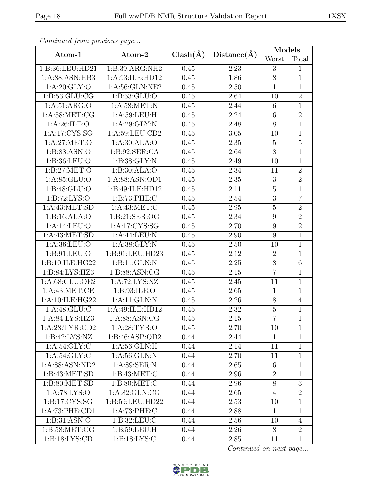| $\sigma$ received to $\sigma$ if $\sigma$ is the process of $\sigma$ and $\sigma$ |                                       |      |          |                  | Models         |
|-----------------------------------------------------------------------------------|---------------------------------------|------|----------|------------------|----------------|
| Atom-1                                                                            | $Clash(\AA)$<br>Distance(A)<br>Atom-2 |      | Worst    | Total            |                |
| 1:B:36:LEU:HD21                                                                   | 1: B:39: ARG: NH2                     | 0.45 | 2.23     | 3                | $\mathbf{1}$   |
| 1:A:88:ASN:HB3                                                                    | 1:A:93:ILE:HD12                       | 0.45 | 1.86     | 8                | $\mathbf{1}$   |
| 1: A:20: GLY:O                                                                    | 1: A:56: GLN: NE2                     | 0.45 | 2.50     | $\mathbf{1}$     | $\mathbf{1}$   |
| 1: B: 53: GLU: CG                                                                 | 1:B:53:GLU:O                          | 0.45 | 2.64     | 10               | $\overline{2}$ |
| 1: A:51: ARG:O                                                                    | 1: A:58:MET:N                         | 0.45 | 2.44     | $6\,$            | $\mathbf{1}$   |
| $1: A:58: \overline{MET:CG}$                                                      | 1: A:59:LEU:H                         | 0.45 | 2.24     | $6\phantom{.}6$  | $\overline{2}$ |
| 1: A:26: ILE:O                                                                    | 1: A:29: GLY:N                        | 0.45 | 2.48     | 8                | $\mathbf{1}$   |
| 1:A:17:CYS:SG                                                                     | 1: A:59:LEU:CD2                       | 0.45 | 3.05     | 10               | $\mathbf{1}$   |
| 1: A:27: MET:O                                                                    | 1:A:30:ALA:O                          | 0.45 | 2.35     | $\overline{5}$   | $\overline{5}$ |
| 1: B: 88: ASN:O                                                                   | 1: B:92: SER:CA                       | 0.45 | 2.64     | $\overline{8}$   | $\mathbf{1}$   |
| 1:B:36:LEU:O                                                                      | 1:B:38:GLY:N                          | 0.45 | 2.49     | 10               | $\mathbf{1}$   |
| 1: B:27: MET:O                                                                    | 1:B:30:ALA:O                          | 0.45 | 2.34     | 11               | $\overline{2}$ |
| 1: A:85: GLU:O                                                                    | 1:A:88:ASN:OD1                        | 0.45 | 2.35     | 3                | $\overline{2}$ |
| 1: B:48: GLU:O                                                                    | 1:B:49:ILE:HD12                       | 0.45 | 2.11     | $\overline{5}$   | $\mathbf{1}$   |
| 1: B: 72: LYS: O                                                                  | 1:B:73:PHE:C                          | 0.45 | 2.54     | $\boldsymbol{3}$ | $\overline{7}$ |
| 1: A: 43: MET: SD                                                                 | 1: A: 43: MET:C                       | 0.45 | 2.95     | $\overline{5}$   | $\overline{2}$ |
| 1:B:16:ALA:O                                                                      | 1:B:21:SER:OG                         | 0.45 | 2.34     | 9                | $\overline{2}$ |
| 1:A:14:LEU:O                                                                      | 1:A:17:CYS:SG                         | 0.45 | 2.70     | 9                | $\overline{2}$ |
| 1:A:43:MET:SD                                                                     | 1:A:44:LEU:N                          | 0.45 | 2.90     | 9                | $\overline{1}$ |
| 1: A:36: LEU:O                                                                    | 1: A:38: GLY:N                        | 0.45 | $2.50\,$ | 10               | $\mathbf{1}$   |
| 1: B: 91: LEU: O                                                                  | 1:B:91:LEU:HD23                       | 0.45 | 2.12     | $\overline{2}$   | $\mathbf{1}$   |
| 1:B:10:ILE:HG22                                                                   | 1:B:11:GLN:N                          | 0.45 | 2.25     | $8\,$            | $\,6\,$        |
| 1:B:84:LYS:HZ3                                                                    | 1:B:88:ASN:CG                         | 0.45 | 2.15     | $\overline{7}$   | $\mathbf{1}$   |
| 1:A:68:GLU:OE2                                                                    | 1:A:72:LYS:NZ                         | 0.45 | 2.45     | 11               | $\overline{1}$ |
| 1: A: 43: MET: CE                                                                 | 1: B:93: ILE: O                       | 0.45 | 2.65     | $\mathbf{1}$     | $\mathbf{1}$   |
| 1: A:10: ILE: HG22                                                                | 1:A:11:GLN:N                          | 0.45 | 2.26     | $8\,$            | $\overline{4}$ |
| 1: A:48: GLU: C                                                                   | 1:A:49:ILE:HD12                       | 0.45 | 2.32     | $\bf 5$          | $\mathbf{1}$   |
| 1:A:84:LYS:HZ3                                                                    | 1: A:88: ASN: CG                      | 0.45 | 2.15     | $\overline{7}$   | $\overline{1}$ |
| 1: A:28:TYR:CD2                                                                   | 1: A:28:TYR:O                         | 0.45 | 2.70     | 10               | $\mathbf 1$    |
| 1:B:42:LYS:NZ                                                                     | 1:B:46:ASP:OD2                        | 0.44 | 2.44     | $\mathbf{1}$     | $\mathbf 1$    |
| 1: A:54: GLY: C                                                                   | 1: A:56: GLN: H                       | 0.44 | 2.14     | 11               | $\mathbf{1}$   |
| 1: A:54: GLY: C                                                                   | 1: A:56: GLN:N                        | 0.44 | 2.70     | 11               | $\mathbf{1}$   |
| 1: A:88: ASN:ND2                                                                  | 1: A:89: SER: N                       | 0.44 | 2.65     | 6                | $\mathbf{1}$   |
| 1: B: 43: MET: SD                                                                 | 1: B: 43: MET: C                      | 0.44 | 2.96     | $\overline{2}$   | $\mathbf 1$    |
| 1: B:80: MET:SD                                                                   | 1: B:80:MET:C                         | 0.44 | 2.96     | 8                | $\overline{3}$ |
| 1: A:78: LYS:O                                                                    | 1: A:82: GLN:CG                       | 0.44 | 2.65     | $\overline{4}$   | $\overline{2}$ |
| 1: B: 17: CYS: SG                                                                 | 1:B:59:LEU:HD22                       | 0.44 | 2.53     | 10               | $\mathbf{1}$   |
| $1:A:73:P\overline{\text{HE:CD1}}$                                                | 1:A:73:PHE:C                          | 0.44 | 2.88     | $\mathbf{1}$     | $\mathbf{1}$   |
| 1:B:31:ASN:O                                                                      | 1: B:32: LEU: C                       | 0.44 | 2.56     | 10               | $\overline{4}$ |
| 1: B:58: MET:CG                                                                   | 1: B: 59: LEU: H                      | 0.44 | 2.26     | 8                | $\overline{2}$ |
| 1: B: 18: LYS: CD                                                                 | 1: B: 18: LYS: C                      |      | 2.85     | 11               | $\mathbf{1}$   |

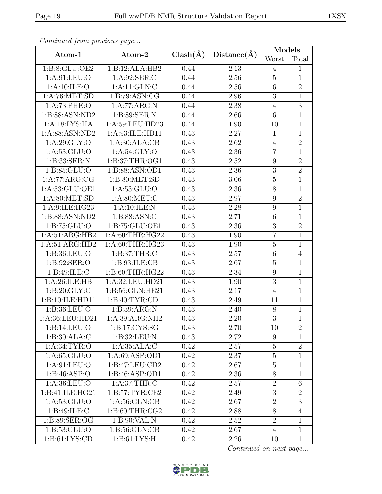| Continuum from protious page       |                    |              |                   | Models           |                |
|------------------------------------|--------------------|--------------|-------------------|------------------|----------------|
| Atom-1                             | Atom-2             | $Clash(\AA)$ | Distance(A)       | Worst            | Total          |
| 1:B:8:GLU:OE2                      | 1:B:12:ALA:HB2     | 0.44         | 2.13              | 4                | $\mathbf{1}$   |
| 1: A:91: LEU:O                     | 1: A:92: SER: C    | 0.44         | 2.56              | $\overline{5}$   | $\mathbf{1}$   |
| 1: A:10: ILE: O                    | 1: A:11: GLN: C    | 0.44         | 2.56              | $\sqrt{6}$       | $\overline{2}$ |
| 1: A:76: MET:SD                    | 1: B:79: ASN: CG   | 0.44         | 2.96              | $\overline{3}$   | $\overline{1}$ |
| 1: A:73: PHE:O                     | 1:A:77:ARG:N       | 0.44         | 2.38              | $\overline{4}$   | 3              |
| 1:B:88:ASN:ND2                     | 1:B:89:SER:N       | 0.44         | 2.66              | $6\,$            | $\mathbf{1}$   |
| 1:A:18:LYS:HA                      | 1:A:59:LEU:HD23    | 0.44         | 1.90              | 10               | $\mathbf{1}$   |
| 1:A:88:ASN:ND2                     | 1:A:93:ILE:HD11    | 0.43         | 2.27              | $\mathbf{1}$     | $\mathbf{1}$   |
| 1: A:29: GLY:O                     | 1:A:30:ALA:CB      | 0.43         | 2.62              | $\overline{4}$   | $\overline{2}$ |
| 1:A:53:GLU:O                       | 1: A:54: GLY:O     | 0.43         | 2.36              | $\overline{7}$   | $\mathbf{1}$   |
| 1:B:33:SER:N                       | 1:B:37:THR:OG1     | 0.43         | 2.52              | $\boldsymbol{9}$ | $\overline{2}$ |
| 1: B: 85: GLU: O                   | 1:B:88:ASN:OD1     | 0.43         | 2.36              | $\sqrt{3}$       | $\overline{2}$ |
| 1:A:77:ARG:CG                      | 1:B:80:MET:SD      | 0.43         | 3.06              | $\bf 5$          | $\overline{1}$ |
| $1: A:53: GLU: \overline{OE1}$     | 1: A:53: GLU:O     | 0.43         | 2.36              | $\overline{8}$   | $\overline{1}$ |
| 1: A:80:MET:SD                     | 1: A:80:MET:C      | 0.43         | 2.97              | 9                | $\overline{2}$ |
| 1: A:9: ILE: HG23                  | 1:A:10:ILE:N       | 0.43         | 2.28              | $\boldsymbol{9}$ | $\overline{1}$ |
| 1:B:88:ASN:ND2                     | 1: B: 88: ASN: C   | 0.43         | 2.71              | $\,$ 6 $\,$      | $\mathbf{1}$   |
| 1: B: 75: GLU:O                    | 1: B: 75: GLU: OE1 | 0.43         | 2.36              | $\overline{3}$   | $\overline{2}$ |
| 1:A:51:ARG:HB2                     | 1: A:60:THR:HG22   | 0.43         | 1.90              | $\overline{7}$   | $\mathbf{1}$   |
| 1:A:51:ARG:HD2                     | 1: A:60:THR:HG23   | 0.43         | 1.90              | $\mathbf 5$      | $\mathbf{1}$   |
| 1: B:36: LEU:O                     | 1: B:37:THR:C      | 0.43         | 2.57              | $6\phantom{.}6$  | $\overline{4}$ |
| 1: B:92: SER:O                     | 1: B:93: ILE: CB   | 0.43         | 2.67              | $\overline{5}$   | $\mathbf{1}$   |
| 1: B:49: ILE:C                     | 1:B:60:THR:HG22    | 0.43         | 2.34              | $9\,$            | $\overline{1}$ |
| 1:A:26:ILE:HB                      | 1:A:32:LEU:HD21    | 0.43         | $\overline{1.90}$ | 3                | $\overline{1}$ |
| 1: B:20: GLY: C                    | 1:B:56:GLN:HE21    | 0.43         | 2.17              | $\overline{4}$   | $\mathbf{1}$   |
| 1:B:10:ILE:HD11                    | 1: B: 40: TYR: CD1 | 0.43         | 2.49              | 11               | $\mathbf{1}$   |
| 1:B:36:LEU:O                       | 1: B: 39: ARG: N   | 0.43         | 2.40              | 8                | $\mathbf{1}$   |
| 1:A:36:LEU:HD21                    | 1: A:39: ARG: NH2  | 0.43         | 2.20              | $\overline{3}$   | $\overline{1}$ |
| 1:B:14:LEU:O                       | 1: B: 17: CYS: SG  | 0.43         | 2.70              | 10               | $\overline{2}$ |
| 1:B:30:ALA:C                       | 1:B:32:LEU:N       | 0.43         | 2.72              | 9                | $\mathbf{1}$   |
| 1: A:34:TYR:O                      | 1:A:35:ALA:C       | 0.42         | 2.57              | $\overline{5}$   | $\overline{2}$ |
| 1: A:65:GLU:O                      | 1: A:69: ASP:OD1   | 0.42         | 2.37              | $\overline{5}$   | $\mathbf{1}$   |
| $1:A:91:\overline{\textrm{LEU:O}}$ | 1:B:47:LEU:CD2     | 0.42         | 2.67              | $\bf 5$          | $\mathbf{1}$   |
| 1:B:46:ASP:O                       | 1:B:46:ASP:OD1     | 0.42         | 2.36              | 8                | $\mathbf{1}$   |
| 1: A:36:LEU:O                      | 1: A:37:THR:C      | 0.42         | 2.57              | $\overline{2}$   | 6              |
| 1:B:41:ILE:HG21                    | 1: B:57: TYR: CE2  | 0.42         | 2.49              | $\sqrt{3}$       | $\overline{2}$ |
| 1: A: 53: GLU: O                   | 1: A:56: GLN:CB    | 0.42         | 2.67              | $\overline{2}$   | $\overline{3}$ |
| 1: B:49: ILE:C                     | 1: B:60:THR:CG2    | 0.42         | 2.88              | 8                | $\overline{4}$ |
| 1:B:89:SER:OG                      | 1: B:90: VAL:N     | 0.42         | 2.52              | $\overline{2}$   | $\mathbf{1}$   |
| 1: B:53: GLU:O                     | 1: B:56: GLN: CB   | 0.42         | 2.67              | 4                | $\mathbf{1}$   |
| 1: B: 61: LYS: CD                  | 1: B: 61: LYS: H   | 0.42         | 2.26              | 10               | $\mathbf{1}$   |

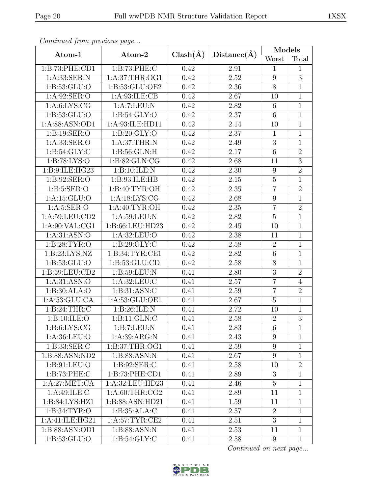| Continuum from protious page |                           |              |             |                  | Models         |
|------------------------------|---------------------------|--------------|-------------|------------------|----------------|
| Atom-1                       | Atom-2                    | $Clash(\AA)$ | Distance(A) | Worst            | Total          |
| 1:B:73:PHE:CD1               | 1:B:73:PHE:C              | 0.42         | 2.91        | $\mathbf{1}$     | $\mathbf{1}$   |
| 1: A: 33: SER: N             | 1:A:37:THR:OG1            | 0.42         | 2.52        | 9                | $\overline{3}$ |
| 1: B: 53: GLU: O             | 1:B:53:GLU:OE2            | 0.42         | 2.36        | $8\,$            | $\mathbf{1}$   |
| 1: A:92: SER:O               | 1: A:93: ILE: CB          | 0.42         | 2.67        | 10               | $\overline{1}$ |
| 1: A:6: LYS: CG              | 1:A:7:LEU:N               | 0.42         | 2.82        | $6\phantom{.}6$  | $\mathbf{1}$   |
| 1:B:53:GLU:O                 | 1: B:54: GLY:O            | 0.42         | 2.37        | $6\phantom{.}6$  | $\mathbf{1}$   |
| 1:A:88:ASN:OD1               | 1:A:93:ILE:HD11           | 0.42         | 2.14        | 10               | $\mathbf{1}$   |
| 1: B: 19: SER: O             | 1: B:20: GLY:O            | 0.42         | 2.37        | $\mathbf{1}$     | $\mathbf{1}$   |
| 1: A: 33: SER: O             | 1:A:37:THR:N              | 0.42         | 2.49        | $\overline{3}$   | $\overline{1}$ |
| 1: B:54: GLY: C              | 1: B:56: GLN: H           | 0.42         | 2.17        | $\,6$            | $\overline{2}$ |
| 1: B: 78: LYS: O             | 1:B:82:GLN:CG             | 0.42         | 2.68        | 11               | $\overline{3}$ |
| 1:B:9:ILE:HG23               | 1:B:10:ILE:N              | 0.42         | 2.30        | $\boldsymbol{9}$ | $\overline{2}$ |
| 1:B:92:SER:O                 | 1:B:93:ILE:HB             | 0.42         | 2.15        | $\overline{5}$   | $\mathbf{1}$   |
| 1: B:5: SER:O                | 1: B:40: TYR:OH           | 0.42         | 2.35        | $\overline{7}$   | $\overline{2}$ |
| 1:A:15:GLU:O                 | 1:A:18:LYS:CG             | 0.42         | 2.68        | $\boldsymbol{9}$ | $\mathbf{1}$   |
| 1: A: 5: SER: O              | 1: A:40: TYR:OH           | 0.42         | 2.35        | $\overline{7}$   | $\overline{2}$ |
| 1:A:59:LEU:CD2               | 1:A:59:LEU:N              | 0.42         | 2.82        | $\overline{5}$   | $\overline{1}$ |
| 1: A:90: VAL:CG1             | 1:B:66:LEU:HD23           | 0.42         | 2.45        | 10               | $\mathbf{1}$   |
| 1: A:31: ASN:O               | 1:A:32:LEU:O              | 0.42         | 2.38        | 11               | $\mathbf{1}$   |
| 1: B:28: TYR:O               | 1: B:29: GLY: C           | 0.42         | 2.58        | $\boldsymbol{2}$ | $\mathbf{1}$   |
| 1: B:23: LYS:NZ              | 1:B:34:TYR:CE1            | 0.42         | 2.82        | $\sqrt{6}$       | $\mathbf{1}$   |
| 1: B: 53: GLU: O             | 1: B: 53: GLU: CD         | 0.42         | 2.58        | $8\,$            | $\mathbf{1}$   |
| 1:B:59:LEU:CD2               | 1:B:59:LEU:N              | 0.41         | 2.80        | $\overline{3}$   | $\overline{2}$ |
| 1: A:31: ASN:O               | 1:A:32:LEU:C              | 0.41         | 2.57        | $\overline{7}$   | $\overline{4}$ |
| 1:B:30:ALA:O                 | 1:B:31:ASN:C              | 0.41         | 2.59        | $\overline{7}$   | $\overline{2}$ |
| 1: A:53: GLU:CA              | 1:A:53:GLU:OE1            | 0.41         | 2.67        | $\overline{5}$   | $\mathbf{1}$   |
| 1: B:24:THR:C                | $1:B:26:ILE:\overline{N}$ | 0.41         | 2.72        | 10               | $\mathbf{1}$   |
| 1:B:10:ILE:O                 | 1: B: 11: GLN: C          | 0.41         | 2.58        | $\overline{2}$   | $\overline{3}$ |
| 1: B:6: LYS: CG              | 1:B:7:LEU:N               | 0.41         | 2.83        | 6                | $\mathbf{1}$   |
| 1:A:36:LEU:O                 | 1: A:39: ARG:N            | 0.41         | 2.43        | $9\phantom{.}$   | $\mathbf{1}$   |
| 1: B: 33: SER: C             | 1:B:37:THR:OG1            | 0.41         | 2.59        | $9\phantom{.}$   | $\mathbf{1}$   |
| 1:B:88:ASN:ND2               | 1:B:88:ASN:N              | 0.41         | 2.67        | 9                | $\mathbf{1}$   |
| 1: B:91: LEU:O               | 1: B:92: SER: C           | 0.41         | 2.58        | 10               | $\overline{2}$ |
| 1:B:73:PHE:C                 | 1:B:73:PHE:CD1            | 0.41         | 2.89        | 3                | $\mathbf{1}$   |
| 1:A:27:MET:CA                | 1:A:32:LEU:HD23           | 0.41         | 2.46        | $\overline{5}$   | $\mathbf{1}$   |
| 1:A:49:ILE:C                 | 1: A:60:THR:CG2           | 0.41         | 2.89        | 11               | $\mathbf{1}$   |
| 1: B:84: LYS:HZ1             | 1:B:88:ASN:HD21           | 0.41         | 1.59        | 11               | $\mathbf{1}$   |
| 1: B:34: TYR:O               | 1: B: 35: ALA: C          | 0.41         | 2.57        | $\overline{2}$   | $\mathbf{1}$   |
| 1:A:41:ILE:HG21              | 1: A:57:TYR:CE2           | 0.41         | 2.51        | 3                | $\mathbf{1}$   |
| 1:B:88:ASN:OD1               | 1:B:88:ASN:N              | 0.41         | 2.53        | 11               | $\mathbf{1}$   |
| 1: B: 53: GLU:O              | 1: B:54: GLY: C           | 0.41         | 2.58        | 9                | $\mathbf{1}$   |

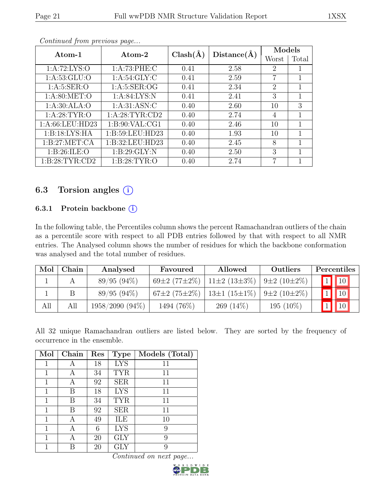|                   |                  | Distance(A)<br>$Clash(\AA)$ |      | Models                      |       |
|-------------------|------------------|-----------------------------|------|-----------------------------|-------|
| Atom-1            | Atom-2           |                             |      | Worst                       | Total |
| 1: A:72: LYS:O    | 1: A:73:PHE: C   | 0.41                        | 2.58 | 2                           |       |
| 1: A: 53: GLU:O   | 1: A:54: GLY: C  | 0.41                        | 2.59 | 7                           | 1     |
| 1: A:5: SER:O     | 1: A: 5: SER: OG | 0.41                        | 2.34 | $\mathcal{D}_{\mathcal{L}}$ | 1     |
| 1: A:80:MET:O     | 1: A:84: LYS:N   | 0.41                        | 2.41 | 3                           | 1     |
| 1: A:30: ALA:O    | 1: A:31: ASN: C  | 0.40                        | 2.60 | 10                          | 3     |
| 1: A:28:TYR:O     | 1: A:28:TYR:CD2  | 0.40                        | 2.74 | 4                           | 1     |
| 1:A:66:LEU:HD23   | 1: B:90: VAL:CG1 | 0.40                        | 2.46 | 10                          | 1     |
| 1: B: 18: LYS: HA | 1:B:59:LEU:HD23  | 0.40                        | 1.93 | 10                          | 1     |
| 1:B:27:MET:CA     | 1:B:32:LEU:HD23  | 0.40                        | 2.45 | 8                           | 1     |
| 1: B:26: ILE: O   | 1: B:29: GLY:N   | 0.40                        | 2.50 | 3                           | 1     |
| 1: B:28:TYR:CD2   | 1: B:28: TYR:O   | 0.40                        | 2.74 | 7                           | 1     |

## 6.3 Torsion angles  $(i)$

#### 6.3.1 Protein backbone (i)

In the following table, the Percentiles column shows the percent Ramachandran outliers of the chain as a percentile score with respect to all PDB entries followed by that with respect to all NMR entries. The Analysed column shows the number of residues for which the backbone conformation was analysed and the total number of residues.

| Mol | Chain | Analysed          | Favoured                   | Allowed                   | Outliers          | Percentiles              |
|-----|-------|-------------------|----------------------------|---------------------------|-------------------|--------------------------|
|     |       | $89/95(94\%)$     | 69 $\pm 2$ (77 $\pm 2\%$ ) | $11\pm2(13\pm3\%)$        | $9\pm2(10\pm2\%)$ | $\boxed{1}$ $\boxed{10}$ |
|     |       | $89/95(94\%)$     | $67\pm2(75\pm2\%)$         | 13 $\pm$ 1 (15 $\pm$ 1\%) | $9\pm2(10\pm2\%)$ | $\sqrt{10}$              |
| All | All   | $1958/2090(94\%)$ | 1494 (76\%)                | $269(14\%)$               | 195 (10%)         |                          |

All 32 unique Ramachandran outliers are listed below. They are sorted by the frequency of occurrence in the ensemble.

| Mol | Chain | Res | <b>Type</b> | Models (Total) |
|-----|-------|-----|-------------|----------------|
| 1   | А     | 18  | <b>LYS</b>  | 11             |
| 1   | А     | 34  | <b>TYR</b>  | 11             |
| 1   | А     | 92  | <b>SER</b>  | 11             |
| 1   | В     | 18  | <b>LYS</b>  | 11             |
| 1   | В     | 34  | <b>TYR</b>  | 11             |
| 1   | В     | 92  | <b>SER</b>  | 11             |
| 1   | А     | 49  | ILE         | 10             |
| 1   | А     | 6   | <b>LYS</b>  | 9              |
| 1   | А     | 20  | <b>GLY</b>  | 9              |
|     |       | 20  | GLY         | 9              |

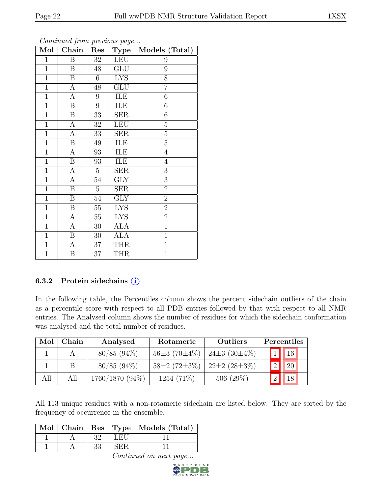| Mol            | Chain                   | Res               | Type                      | Models (Total) |
|----------------|-------------------------|-------------------|---------------------------|----------------|
| $\mathbf{1}$   | $\overline{B}$          | $32\,$            | <b>LEU</b>                | 9              |
| $\overline{1}$ | $\overline{B}$          | 48                | $\overline{\mathrm{GLU}}$ | 9              |
| $\mathbf 1$    | $\, {\bf B}$            | $6\,$             | <b>LYS</b>                | 8              |
| $\mathbf{1}$   | А                       | 48                | GLU                       | $\overline{7}$ |
| $\mathbf{1}$   | $\boldsymbol{A}$        | $\boldsymbol{9}$  | ILE                       | 6              |
| $\mathbf{1}$   | B                       | $\overline{9}$    | ILE                       | $\sqrt{6}$     |
| $\mathbf{1}$   | $\boldsymbol{B}$        | 33                | <b>SER</b>                | 6              |
| $\mathbf{1}$   | $\boldsymbol{A}$        | $32\,$            | <b>LEU</b>                | $\overline{5}$ |
| $\overline{1}$ | A                       | $33\,$            | <b>SER</b>                | $\overline{5}$ |
| $\overline{1}$ | $\overline{\mathbf{B}}$ | 49                | ILE                       | $\overline{5}$ |
| $\mathbf{1}$   | А                       | $\boldsymbol{93}$ | ILE                       | $\overline{4}$ |
| $\mathbf 1$    | Β                       | 93                | ILE                       | $\overline{4}$ |
| $\mathbf{1}$   | А                       | $\overline{5}$    | <b>SER</b>                | 3              |
| $\mathbf{1}$   | А                       | 54                | ${\rm GLY}$               | 3              |
| $\overline{1}$ | $\overline{\mathrm{B}}$ | $\overline{5}$    | SER                       | $\overline{2}$ |
| $\mathbf 1$    | B                       | $54\,$            | <b>GLY</b>                | $\overline{2}$ |
| $\mathbf{1}$   | B                       | $55\,$            | $\overline{\text{LYS}}$   | $\overline{2}$ |
| $\mathbf{1}$   | A                       | $55\,$            | <b>LYS</b>                | $\overline{2}$ |
| $\mathbf{1}$   | A                       | 30                | <b>ALA</b>                | $\mathbf{1}$   |
| $\overline{1}$ | B                       | 30                | <b>ALA</b>                | $\overline{1}$ |
| $\mathbf{1}$   | $\boldsymbol{A}$        | 37                | <b>THR</b>                | $\mathbf{1}$   |
| $\mathbf{1}$   | Β                       | 37                | <b>THR</b>                | $\overline{1}$ |

#### 6.3.2 Protein sidechains  $(i)$

In the following table, the Percentiles column shows the percent sidechain outliers of the chain as a percentile score with respect to all PDB entries followed by that with respect to all NMR entries. The Analysed column shows the number of residues for which the sidechain conformation was analysed and the total number of residues.

| Mol | $Chain$ | Analysed        | Rotameric          | <b>Outliers</b>       | Percentiles             |
|-----|---------|-----------------|--------------------|-----------------------|-------------------------|
|     |         | $80/85$ (94\%)  | $56\pm3(70\pm4\%)$ | 24 ± 3 $(30 \pm 4\%)$ | $1$   16                |
|     |         | $80/85$ (94\%)  | $58\pm2(72\pm3\%)$ | $22\pm2(28\pm3\%)$    | 20 <br>$\left 2\right $ |
| All | All     | 1760/1870 (94%) | $1254(71\%)$       | $506(29\%)$           | 2 <br>18                |

All 113 unique residues with a non-rotameric sidechain are listed below. They are sorted by the frequency of occurrence in the ensemble.

|  |    |      | Mol   Chain   Res   Type   Models (Total) |
|--|----|------|-------------------------------------------|
|  | າາ | L ET |                                           |
|  |    |      |                                           |

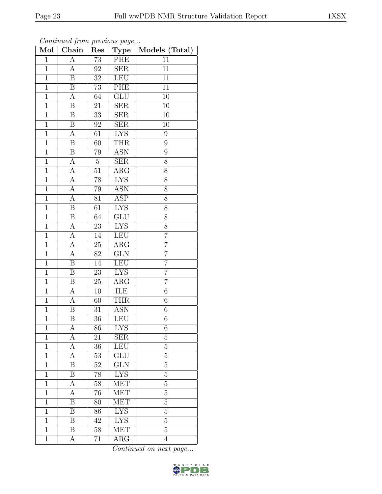| Mol            | Chain                   | $\operatorname{Res}% \left( \mathcal{N}\right) \equiv\operatorname*{Res}\left( \mathcal{N}\right)$ | <b>Type</b>             | Models (Total)   |
|----------------|-------------------------|----------------------------------------------------------------------------------------------------|-------------------------|------------------|
| $\overline{1}$ | А                       | $\overline{73}$                                                                                    | PHE                     | 11               |
| $\mathbf{1}$   | A                       | 92                                                                                                 | <b>SER</b>              | 11               |
| $\overline{1}$ | B                       | $\overline{32}$                                                                                    | <b>LEU</b>              | $\overline{11}$  |
| $\overline{1}$ | B                       | $73\,$                                                                                             | PHE                     | 11               |
| $\mathbf{1}$   | A                       | 64                                                                                                 | $\overline{{\rm GLU}}$  | $\overline{10}$  |
| $\mathbf{1}$   | B                       | 21                                                                                                 | $\overline{\text{SER}}$ | 10               |
| $\overline{1}$ | B                       | 33                                                                                                 | SER                     | 10               |
| $\overline{1}$ | $\overline{\mathrm{B}}$ | $92\,$                                                                                             | SER                     | 10               |
| $\mathbf 1$    | А                       | 61                                                                                                 | <b>LYS</b>              | $\boldsymbol{9}$ |
| $\overline{1}$ | $\overline{\mathrm{B}}$ | 60                                                                                                 | <b>THR</b>              | $\overline{9}$   |
| $\mathbf{1}$   | B                       | 79                                                                                                 | <b>ASN</b>              | 9                |
| $\overline{1}$ | $\overline{\rm A}$      | $\overline{5}$                                                                                     | $\overline{\text{SER}}$ | $\overline{8}$   |
| $\mathbf{1}$   | $\boldsymbol{A}$        | $51\,$                                                                                             | ARG                     | 8                |
| $\mathbf{1}$   | $\overline{A}$          | $78\,$                                                                                             | <b>LYS</b>              | 8                |
| $\mathbf{1}$   | $\overline{A}$          | $79\,$                                                                                             | <b>ASN</b>              | 8                |
| $\overline{1}$ | $\overline{A}$          | 81                                                                                                 | <b>ASP</b>              | 8                |
| $\overline{1}$ | $\overline{\mathrm{B}}$ | $\overline{61}$                                                                                    | <b>LYS</b>              | $\overline{8}$   |
| $\mathbf{1}$   | $\boldsymbol{B}$        | 64                                                                                                 | GLU                     | 8                |
| $\mathbf 1$    | A                       | 23                                                                                                 | <b>LYS</b>              | 8                |
| $\overline{1}$ | $\overline{A}$          | 14                                                                                                 | LEU                     | $\overline{7}$   |
| $\mathbf{1}$   | A                       | $25\,$                                                                                             | $\rm{ARG}$              | $\overline{7}$   |
| $\overline{1}$ | A                       | $\overline{82}$                                                                                    | $\overline{\text{GLN}}$ | $\overline{7}$   |
| $\overline{1}$ | B                       | 14                                                                                                 | <b>LEU</b>              | $\overline{7}$   |
| $\overline{1}$ | $\overline{\mathrm{B}}$ | 23                                                                                                 | <b>LYS</b>              | $\overline{7}$   |
| $\mathbf 1$    | Β                       | $25\,$                                                                                             | $\rm{ARG}$              | $\overline{7}$   |
| $\mathbf{1}$   | A                       | $10\,$                                                                                             | ILE                     | $\sqrt{6}$       |
| $\overline{1}$ | А                       | 60                                                                                                 | <b>THR</b>              | $\overline{6}$   |
| $\mathbf 1$    | B                       | 31                                                                                                 | ASN                     | $\!6\,$          |
| $\overline{1}$ | $\overline{\mathrm{B}}$ | 36                                                                                                 | <b>LEU</b>              | $\overline{6}$   |
| 1              | А                       | 86                                                                                                 | LYS                     | 6                |
| $\overline{1}$ | А                       | 21                                                                                                 | <b>SER</b>              | $\overline{5}$   |
| $\mathbf{1}$   | A                       | $36\,$                                                                                             | LEU                     | $\overline{5}$   |
| $\mathbf{1}$   | А                       | $53\,$                                                                                             | GLU                     | $\overline{5}$   |
| $\mathbf{1}$   | Β                       | 52                                                                                                 | $\overline{\text{GLN}}$ | $\overline{5}$   |
| $\mathbf{1}$   | B                       | 78                                                                                                 | <b>LYS</b>              | $\overline{5}$   |
| $\mathbf{1}$   | А                       | $58\,$                                                                                             | <b>MET</b>              | $\overline{5}$   |
| $\mathbf{1}$   | А                       | 76                                                                                                 | <b>MET</b>              | $\overline{5}$   |
| 1              | Β                       | 80                                                                                                 | <b>MET</b>              | $\overline{5}$   |
| $\mathbf{1}$   | B                       | 86                                                                                                 | <b>LYS</b>              | $\overline{5}$   |
| $\mathbf 1$    | Β                       | 42                                                                                                 | <b>LYS</b>              | $\overline{5}$   |
| $\mathbf{1}$   | B                       | $58\,$                                                                                             | <b>MET</b>              | $\overline{5}$   |
| $\mathbf{1}$   | А                       | 71                                                                                                 | $\rm{ARG}$              | $\overline{4}$   |

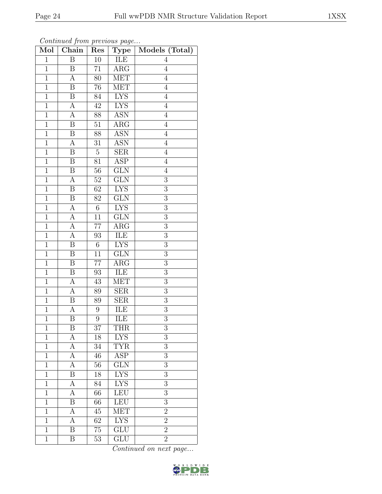| Mol            | Chain                   | Res             | ${\bf Type}$            | Models (Total)   |
|----------------|-------------------------|-----------------|-------------------------|------------------|
| $\mathbf{1}$   | $\overline{B}$          | $10\,$          | ILE                     | $\overline{4}$   |
| $\mathbf{1}$   | B                       | 71              | $\rm{ARG}$              | $\overline{4}$   |
| $\overline{1}$ | $\overline{\rm A}$      | 80              | <b>MET</b>              | $\overline{4}$   |
| $\mathbf{1}$   | B                       | 76              | MET                     | $\overline{4}$   |
| $\overline{1}$ | $\overline{\mathrm{B}}$ | 84              | <b>LYS</b>              | $\overline{4}$   |
| $\mathbf 1$    | $\boldsymbol{A}$        | $42\,$          | <b>LYS</b>              | $\overline{4}$   |
| $\overline{1}$ | A                       | 88              | <b>ASN</b>              | $\overline{4}$   |
| $\overline{1}$ | B                       | 51              | $\overline{\text{ARG}}$ | $\overline{4}$   |
| $\mathbf{1}$   | $\boldsymbol{B}$        | 88              | <b>ASN</b>              | $\overline{4}$   |
| $\,1$          | A                       | 31              | <b>ASN</b>              | $\overline{4}$   |
| $\overline{1}$ | B                       | $\overline{5}$  | <b>SER</b>              | $\overline{4}$   |
| $\overline{1}$ | $\overline{\mathrm{B}}$ | $\overline{81}$ | $\overline{\text{ASP}}$ | $\overline{4}$   |
| $\mathbf 1$    | B                       | $56\,$          | GLN                     | $\overline{4}$   |
| $\,1$          | $\boldsymbol{A}$        | $52\,$          | $\overline{\text{GLN}}$ | $\sqrt{3}$       |
| $\mathbf 1$    | B                       | $\overline{62}$ | <b>LYS</b>              | $\overline{3}$   |
| $\mathbf{1}$   | $\boldsymbol{B}$        | $82\,$          | $\overline{\text{GLN}}$ | $\overline{3}$   |
| $\overline{1}$ | $\overline{A}$          | $\overline{6}$  | <b>LYS</b>              | $\overline{3}$   |
| $\mathbf 1$    | $\boldsymbol{A}$        | 11              | <b>GLN</b>              | 3                |
| $\mathbf{1}$   | A                       | 77              | $\rm{ARG}$              | $\boldsymbol{3}$ |
| $\overline{1}$ | $\overline{\rm A}$      | 93              | ILE                     | $\overline{3}$   |
| $\mathbf{1}$   | B                       | $6\,$           | <b>LYS</b>              | $\mathfrak{Z}$   |
| $\overline{1}$ | $\overline{\mathrm{B}}$ | $\overline{11}$ | $\overline{\text{GLN}}$ | $\overline{3}$   |
| $\mathbf 1$    | B                       | 77              | $\rm{ARG}$              | $\sqrt{3}$       |
| $\overline{1}$ | $\overline{\mathrm{B}}$ | $\overline{93}$ | ILE                     | $\overline{3}$   |
| $\mathbf{1}$   | A                       | $43\,$          | <b>MET</b>              | $\boldsymbol{3}$ |
| $\overline{1}$ | А                       | 89              | SER                     | $\overline{3}$   |
| $\overline{1}$ | $\overline{B}$          | 89              | $\overline{\text{SER}}$ | $\overline{3}$   |
| $\overline{1}$ | А                       | 9               | ILE                     | 3                |
| $\overline{1}$ | $\overline{\mathrm{B}}$ | $\overline{9}$  | $\overline{\text{ILE}}$ | $\overline{3}$   |
| 1              | Β                       | 37              | <b>THR</b>              | 3                |
| $\mathbf{1}$   | А                       | 18              | $L\overline{YS}$        | 3                |
| $\mathbf 1$    | А                       | 34              | <b>TYR</b>              | $\overline{3}$   |
| $\mathbf 1$    | А                       | 46              | ASP                     | 3                |
| $\mathbf{1}$   | А                       | 56              | GLN                     | 3                |
| $\mathbf{1}$   | Β                       | 18              | ${\rm LYS}$             | 3                |
| $\mathbf{1}$   | А                       | 84              | $\overline{\text{LYS}}$ | 3                |
| $\mathbf{1}$   | А                       | $\overline{66}$ | LEU                     | $\overline{3}$   |
| $\mathbf{1}$   | Β                       | 66              | <b>LEU</b>              | 3                |
| $\mathbf{1}$   | А                       | 45              | <b>MET</b>              | $\overline{2}$   |
| $\mathbf 1$    | А                       | 62              | <b>LYS</b>              | $\overline{2}$   |
| $\mathbf{1}$   | $\overline{\mathrm{B}}$ | 75              | $\overline{\text{GLU}}$ | $\overline{2}$   |
| $\mathbf 1$    | Β                       | 53              | GLU                     | $\overline{2}$   |

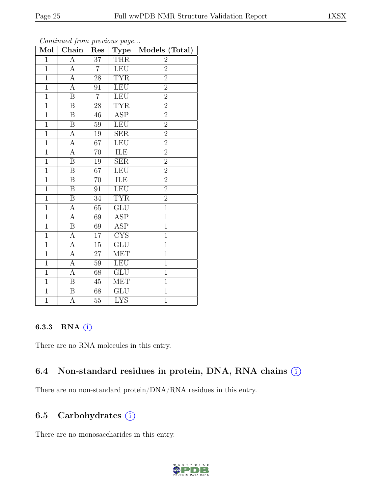| Mol            | Continuation precious page<br>Chain | Res             | <b>Type</b>               | Models (Total) |
|----------------|-------------------------------------|-----------------|---------------------------|----------------|
| $\overline{1}$ | $\overline{A}$                      | $\overline{37}$ | <b>THR</b>                | $\overline{2}$ |
| $\mathbf{1}$   | $\boldsymbol{A}$                    | $\overline{7}$  | <b>LEU</b>                | $\overline{2}$ |
| $\overline{1}$ | $\overline{A}$                      | 28              | <b>TYR</b>                | $\overline{2}$ |
| $\overline{1}$ | $\overline{A}$                      | 91              | <b>LEU</b>                | $\overline{2}$ |
| $\overline{1}$ | $\overline{\mathrm{B}}$             | $\overline{7}$  | <b>LEU</b>                | $\overline{2}$ |
| $\overline{1}$ | $\boldsymbol{B}$                    | 28              | <b>TYR</b>                | $\overline{2}$ |
| $\overline{1}$ | $\overline{\mathrm{B}}$             | 46              | <b>ASP</b>                | $\overline{2}$ |
| $\mathbf{1}$   | $\boldsymbol{B}$                    | 59              | <b>LEU</b>                | $\overline{2}$ |
| $\mathbf{1}$   | $\boldsymbol{A}$                    | $19\,$          | <b>SER</b>                | $\overline{2}$ |
| $\overline{1}$ | $\overline{A}$                      | $\overline{67}$ | LEU                       | $\overline{2}$ |
| $\overline{1}$ | $\overline{\rm A}$                  | 70              | ILE                       | $\overline{2}$ |
| $\overline{1}$ | $\overline{\mathrm{B}}$             | 19              | $\overline{\text{SER}}$   | $\overline{2}$ |
| $\overline{1}$ | B                                   | 67              | <b>LEU</b>                | $\overline{2}$ |
| $\overline{1}$ | $\, {\bf B}$                        | 70              | ILE                       | $\overline{2}$ |
| $\overline{1}$ | $\overline{\mathrm{B}}$             | $\overline{91}$ | LEU                       | $\overline{2}$ |
| $\overline{1}$ | $\boldsymbol{B}$                    | 34              | <b>TYR</b>                | $\overline{2}$ |
| $\overline{1}$ | $\overline{A}$                      | 65              | GLU                       | $\overline{1}$ |
| $\mathbf{1}$   | $\overline{A}$                      | 69              | <b>ASP</b>                | $\mathbf{1}$   |
| $\mathbf{1}$   | $\boldsymbol{B}$                    | 69              | ASP                       | $\mathbf{1}$   |
| $\overline{1}$ | $\overline{A}$                      | 17              | CYS                       | $\overline{1}$ |
| $\overline{1}$ | $\overline{A}$                      | $\overline{15}$ | $\overline{\text{GLU}}$   | $\overline{1}$ |
| $\overline{1}$ | $\overline{A}$                      | 27              | <b>MET</b>                | $\mathbf{1}$   |
| $\mathbf{1}$   | А                                   | 59              | LEU                       | $\mathbf{1}$   |
| $\overline{1}$ | $\overline{A}$                      | $\overline{68}$ | $\overline{\mathrm{GLU}}$ | $\overline{1}$ |
| $\overline{1}$ | $\overline{B}$                      | 45              | <b>MET</b>                | $\overline{1}$ |
| $\overline{1}$ | $\boldsymbol{B}$                    | 68              | ${\rm GLU}$               | $\overline{1}$ |
| $\overline{1}$ | $\overline{\rm A}$                  | $\overline{55}$ | $\overline{\text{LYS}}$   | $\overline{1}$ |

Continued from previous page.

#### 6.3.3 RNA (i)

There are no RNA molecules in this entry.

#### 6.4 Non-standard residues in protein, DNA, RNA chains (i)

There are no non-standard protein/DNA/RNA residues in this entry.

#### 6.5 Carbohydrates (i)

There are no monosaccharides in this entry.

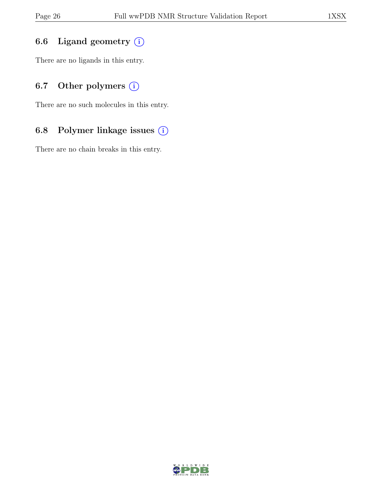## 6.6 Ligand geometry  $(i)$

There are no ligands in this entry.

## 6.7 Other polymers  $(i)$

There are no such molecules in this entry.

## 6.8 Polymer linkage issues (i)

There are no chain breaks in this entry.